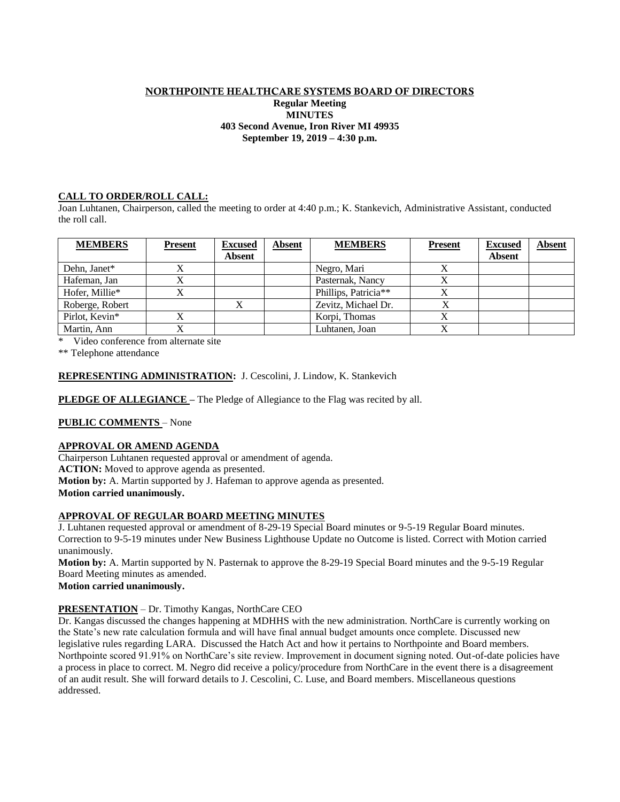### NORTHPOINTE HEALTHCARE SYSTEMS BOARD OF DIRECTORS **Regular Meeting MINUTES 403 Second Avenue, Iron River MI 49935 September 19, 2019 – 4:30 p.m.**

# **CALL TO ORDER/ROLL CALL:**

Joan Luhtanen, Chairperson, called the meeting to order at 4:40 p.m.; K. Stankevich, Administrative Assistant, conducted the roll call.

| <b>MEMBERS</b>  | <b>Present</b> | <b>Excused</b> | <b>Absent</b> | <b>MEMBERS</b>       | <b>Present</b> | <b>Excused</b> | <b>Absent</b> |
|-----------------|----------------|----------------|---------------|----------------------|----------------|----------------|---------------|
|                 |                | <b>Absent</b>  |               |                      |                | <b>Absent</b>  |               |
| Dehn, Janet*    | $\Lambda$      |                |               | Negro, Mari          |                |                |               |
| Hafeman, Jan    |                |                |               | Pasternak, Nancy     |                |                |               |
| Hofer, Millie*  |                |                |               | Phillips, Patricia** |                |                |               |
| Roberge, Robert |                |                |               | Zevitz, Michael Dr.  |                |                |               |
| Pirlot, Kevin*  |                |                |               | Korpi, Thomas        |                |                |               |
| Martin, Ann     |                |                |               | Luhtanen, Joan       |                |                |               |

Video conference from alternate site

\*\* Telephone attendance

## **REPRESENTING ADMINISTRATION:** J. Cescolini, J. Lindow, K. Stankevich

**PLEDGE OF ALLEGIANCE** – The Pledge of Allegiance to the Flag was recited by all.

# **PUBLIC COMMENTS** – None

### **APPROVAL OR AMEND AGENDA**

Chairperson Luhtanen requested approval or amendment of agenda.

**ACTION:** Moved to approve agenda as presented.

**Motion by:** A. Martin supported by J. Hafeman to approve agenda as presented.

**Motion carried unanimously.**

### **APPROVAL OF REGULAR BOARD MEETING MINUTES**

J. Luhtanen requested approval or amendment of 8-29-19 Special Board minutes or 9-5-19 Regular Board minutes. Correction to 9-5-19 minutes under New Business Lighthouse Update no Outcome is listed. Correct with Motion carried unanimously.

**Motion by:** A. Martin supported by N. Pasternak to approve the 8-29-19 Special Board minutes and the 9-5-19 Regular Board Meeting minutes as amended.

### **Motion carried unanimously.**

# **PRESENTATION** – Dr. Timothy Kangas, NorthCare CEO

Dr. Kangas discussed the changes happening at MDHHS with the new administration. NorthCare is currently working on the State's new rate calculation formula and will have final annual budget amounts once complete. Discussed new legislative rules regarding LARA. Discussed the Hatch Act and how it pertains to Northpointe and Board members. Northpointe scored 91.91% on NorthCare's site review. Improvement in document signing noted. Out-of-date policies have a process in place to correct. M. Negro did receive a policy/procedure from NorthCare in the event there is a disagreement of an audit result. She will forward details to J. Cescolini, C. Luse, and Board members. Miscellaneous questions addressed.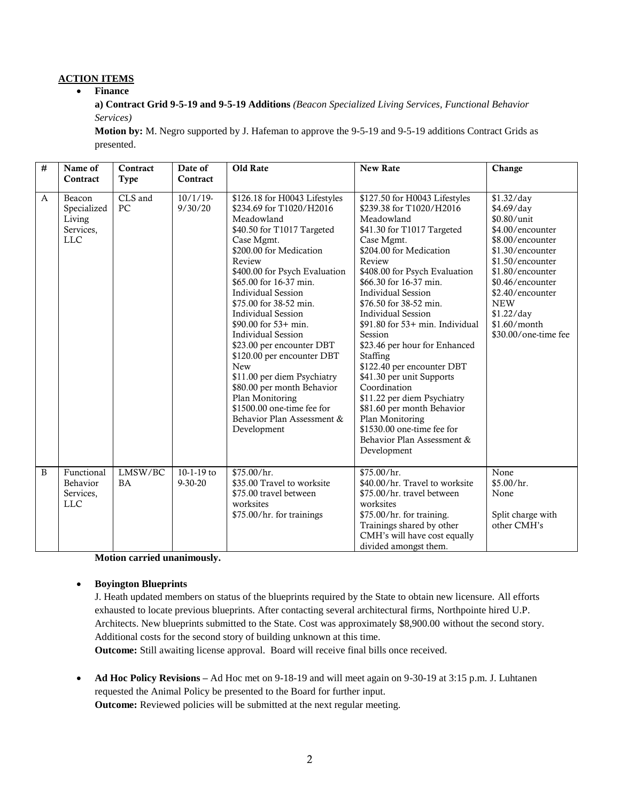# **ACTION ITEMS**

### **Finance**

**a) Contract Grid 9-5-19 and 9-5-19 Additions** *(Beacon Specialized Living Services, Functional Behavior Services)*

**Motion by:** M. Negro supported by J. Hafeman to approve the 9-5-19 and 9-5-19 additions Contract Grids as presented.

| # | Name of<br>Contract                                        | Contract<br><b>Type</b> | Date of<br>Contract           | Old Rate                                                                                                                                                                                                                                                                                                                                                                                                                                                                                                                                                                                           | <b>New Rate</b>                                                                                                                                                                                                                                                                                                                                                                                                                                                                                                                                                                                                                             | Change                                                                                                                                                                                                                                                  |
|---|------------------------------------------------------------|-------------------------|-------------------------------|----------------------------------------------------------------------------------------------------------------------------------------------------------------------------------------------------------------------------------------------------------------------------------------------------------------------------------------------------------------------------------------------------------------------------------------------------------------------------------------------------------------------------------------------------------------------------------------------------|---------------------------------------------------------------------------------------------------------------------------------------------------------------------------------------------------------------------------------------------------------------------------------------------------------------------------------------------------------------------------------------------------------------------------------------------------------------------------------------------------------------------------------------------------------------------------------------------------------------------------------------------|---------------------------------------------------------------------------------------------------------------------------------------------------------------------------------------------------------------------------------------------------------|
| A | Beacon<br>Specialized<br>Living<br>Services,<br><b>LLC</b> | CLS and<br>PC           | $10/1/19$ -<br>9/30/20        | \$126.18 for H0043 Lifestyles<br>\$234.69 for T1020/H2016<br>Meadowland<br>\$40.50 for T1017 Targeted<br>Case Mgmt.<br>\$200.00 for Medication<br>Review<br>\$400.00 for Psych Evaluation<br>\$65.00 for 16-37 min.<br><b>Individual Session</b><br>\$75.00 for 38-52 min.<br><b>Individual Session</b><br>\$90.00 for $53+$ min.<br><b>Individual Session</b><br>\$23.00 per encounter DBT<br>\$120.00 per encounter DBT<br><b>New</b><br>\$11.00 per diem Psychiatry<br>\$80.00 per month Behavior<br>Plan Monitoring<br>\$1500.00 one-time fee for<br>Behavior Plan Assessment &<br>Development | \$127.50 for H0043 Lifestyles<br>\$239.38 for T1020/H2016<br>Meadowland<br>\$41.30 for T1017 Targeted<br>Case Mgmt.<br>\$204.00 for Medication<br>Review<br>\$408.00 for Psych Evaluation<br>\$66.30 for 16-37 min.<br><b>Individual Session</b><br>\$76.50 for 38-52 min.<br><b>Individual Session</b><br>$$91.80$ for $53+$ min. Individual<br>Session<br>\$23.46 per hour for Enhanced<br>Staffing<br>\$122.40 per encounter DBT<br>\$41.30 per unit Supports<br>Coordination<br>\$11.22 per diem Psychiatry<br>\$81.60 per month Behavior<br>Plan Monitoring<br>\$1530.00 one-time fee for<br>Behavior Plan Assessment &<br>Development | \$1.32/day<br>\$4.69/day<br>\$0.80/unit<br>\$4.00/encounter<br>\$8.00/encounter<br>\$1.30/encounter<br>\$1.50/encounter<br>\$1.80/encounter<br>\$0.46/encounter<br>\$2.40/encounter<br><b>NEW</b><br>\$1.22/day<br>\$1.60/month<br>\$30.00/one-time fee |
| B | Functional<br>Behavior<br>Services,<br><b>LLC</b>          | LMSW/BC<br><b>BA</b>    | $10-1-19$ to<br>$9 - 30 - 20$ | \$75.00/hr.<br>\$35.00 Travel to worksite<br>\$75.00 travel between<br>worksites<br>\$75.00/hr. for trainings                                                                                                                                                                                                                                                                                                                                                                                                                                                                                      | \$75.00/hr.<br>\$40.00/hr. Travel to worksite<br>\$75.00/hr. travel between<br>worksites<br>\$75.00/hr. for training.<br>Trainings shared by other<br>CMH's will have cost equally<br>divided amongst them.                                                                                                                                                                                                                                                                                                                                                                                                                                 | None<br>\$5.00/hr.<br>None<br>Split charge with<br>other CMH's                                                                                                                                                                                          |

**Motion carried unanimously.**

### **Boyington Blueprints**

J. Heath updated members on status of the blueprints required by the State to obtain new licensure. All efforts exhausted to locate previous blueprints. After contacting several architectural firms, Northpointe hired U.P. Architects. New blueprints submitted to the State. Cost was approximately \$8,900.00 without the second story. Additional costs for the second story of building unknown at this time.

**Outcome:** Still awaiting license approval. Board will receive final bills once received.

 **Ad Hoc Policy Revisions –** Ad Hoc met on 9-18-19 and will meet again on 9-30-19 at 3:15 p.m. J. Luhtanen requested the Animal Policy be presented to the Board for further input. **Outcome:** Reviewed policies will be submitted at the next regular meeting.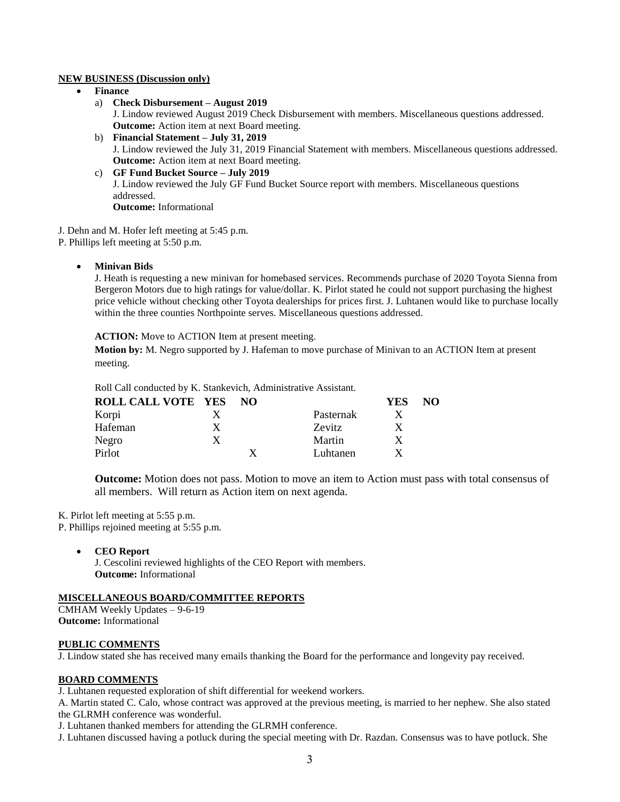#### **NEW BUSINESS (Discussion only)**

- **Finance**
	- a) **Check Disbursement – August 2019** J. Lindow reviewed August 2019 Check Disbursement with members. Miscellaneous questions addressed. **Outcome:** Action item at next Board meeting.
	- b) **Financial Statement – July 31, 2019** J. Lindow reviewed the July 31, 2019 Financial Statement with members. Miscellaneous questions addressed. **Outcome:** Action item at next Board meeting.
	- c) **GF Fund Bucket Source – July 2019** J. Lindow reviewed the July GF Fund Bucket Source report with members. Miscellaneous questions addressed. **Outcome:** Informational

J. Dehn and M. Hofer left meeting at 5:45 p.m.

P. Phillips left meeting at 5:50 p.m.

**Minivan Bids**

J. Heath is requesting a new minivan for homebased services. Recommends purchase of 2020 Toyota Sienna from Bergeron Motors due to high ratings for value/dollar. K. Pirlot stated he could not support purchasing the highest price vehicle without checking other Toyota dealerships for prices first. J. Luhtanen would like to purchase locally within the three counties Northpointe serves. Miscellaneous questions addressed.

**ACTION:** Move to ACTION Item at present meeting.

**Motion by:** M. Negro supported by J. Hafeman to move purchase of Minivan to an ACTION Item at present meeting.

Roll Call conducted by K. Stankevich, Administrative Assistant.

| <b>ROLL CALL VOTE YES</b> |   | NO. |               | YES | NO. |
|---------------------------|---|-----|---------------|-----|-----|
| Korpi                     |   |     | Pasternak     |     |     |
| Hafeman                   | X |     | <b>Zevitz</b> |     |     |
| Negro                     | X |     | Martin        |     |     |
| Pirlot                    |   |     | Luhtanen      |     |     |

**Outcome:** Motion does not pass. Motion to move an item to Action must pass with total consensus of all members. Will return as Action item on next agenda.

K. Pirlot left meeting at 5:55 p.m.

P. Phillips rejoined meeting at 5:55 p.m.

**CEO Report**

J. Cescolini reviewed highlights of the CEO Report with members. **Outcome:** Informational

# **MISCELLANEOUS BOARD/COMMITTEE REPORTS**

CMHAM Weekly Updates – 9-6-19 **Outcome:** Informational

### **PUBLIC COMMENTS**

J. Lindow stated she has received many emails thanking the Board for the performance and longevity pay received.

### **BOARD COMMENTS**

J. Luhtanen requested exploration of shift differential for weekend workers.

A. Martin stated C. Calo, whose contract was approved at the previous meeting, is married to her nephew. She also stated the GLRMH conference was wonderful.

J. Luhtanen thanked members for attending the GLRMH conference.

J. Luhtanen discussed having a potluck during the special meeting with Dr. Razdan. Consensus was to have potluck. She